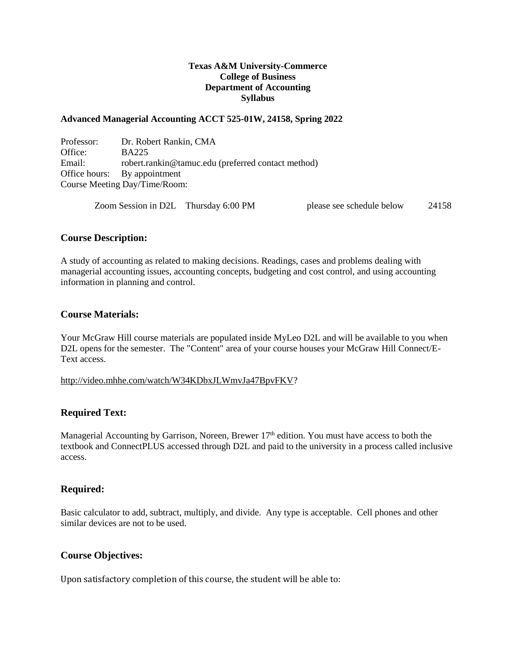### **Texas A&M University-Commerce College of Business Department of Accounting Syllabus**

#### **Advanced Managerial Accounting ACCT 525-01W, 24158, Spring 2022**

Professor: Dr. Robert Rankin, CMA Office: BA225 Email: robert.rankin@tamuc.edu (preferred contact method) Office hours: By appointment Course Meeting Day/Time/Room:

Zoom Session in D2L Thursday 6:00 PM please see schedule below 24158

#### **Course Description:**

A study of accounting as related to making decisions. Readings, cases and problems dealing with managerial accounting issues, accounting concepts, budgeting and cost control, and using accounting information in planning and control.

#### **Course Materials:**

Your McGraw Hill course materials are populated inside MyLeo D2L and will be available to you when D2L opens for the semester. The "Content" area of your course houses your McGraw Hill Connect/E-Text access.

[http://video.mhhe.com/watch/W34KDbxJLWmvJa47BpvFKV?](http://video.mhhe.com/watch/W34KDbxJLWmvJa47BpvFKV)

#### **Required Text:**

Managerial Accounting by Garrison, Noreen, Brewer 17<sup>th</sup> edition. You must have access to both the textbook and ConnectPLUS accessed through D2L and paid to the university in a process called inclusive access.

#### **Required:**

Basic calculator to add, subtract, multiply, and divide. Any type is acceptable. Cell phones and other similar devices are not to be used.

#### **Course Objectives:**

Upon satisfactory completion of this course, the student will be able to: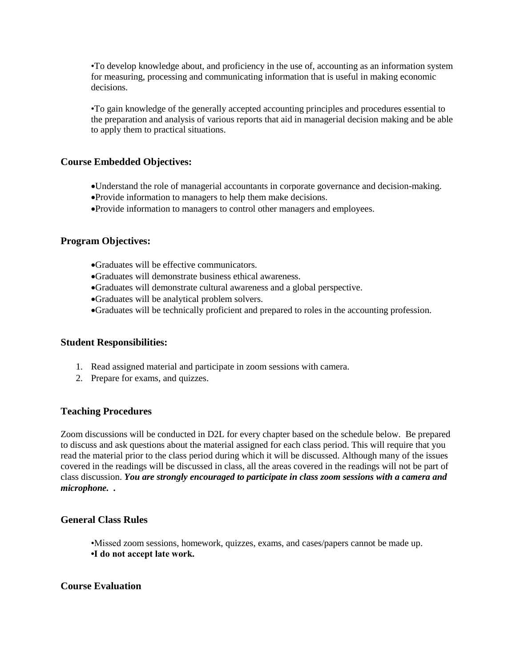•To develop knowledge about, and proficiency in the use of, accounting as an information system for measuring, processing and communicating information that is useful in making economic decisions.

•To gain knowledge of the generally accepted accounting principles and procedures essential to the preparation and analysis of various reports that aid in managerial decision making and be able to apply them to practical situations.

### **Course Embedded Objectives:**

- Understand the role of managerial accountants in corporate governance and decision-making.
- Provide information to managers to help them make decisions.
- Provide information to managers to control other managers and employees.

#### **Program Objectives:**

- Graduates will be effective communicators.
- Graduates will demonstrate business ethical awareness.
- Graduates will demonstrate cultural awareness and a global perspective.
- Graduates will be analytical problem solvers.
- Graduates will be technically proficient and prepared to roles in the accounting profession.

#### **Student Responsibilities:**

- 1. Read assigned material and participate in zoom sessions with camera.
- 2. Prepare for exams, and quizzes.

#### **Teaching Procedures**

Zoom discussions will be conducted in D2L for every chapter based on the schedule below. Be prepared to discuss and ask questions about the material assigned for each class period. This will require that you read the material prior to the class period during which it will be discussed. Although many of the issues covered in the readings will be discussed in class, all the areas covered in the readings will not be part of class discussion. *You are strongly encouraged to participate in class zoom sessions with a camera and microphone. .*

### **General Class Rules**

- •Missed zoom sessions, homework, quizzes, exams, and cases/papers cannot be made up.
- **•I do not accept late work.**

#### **Course Evaluation**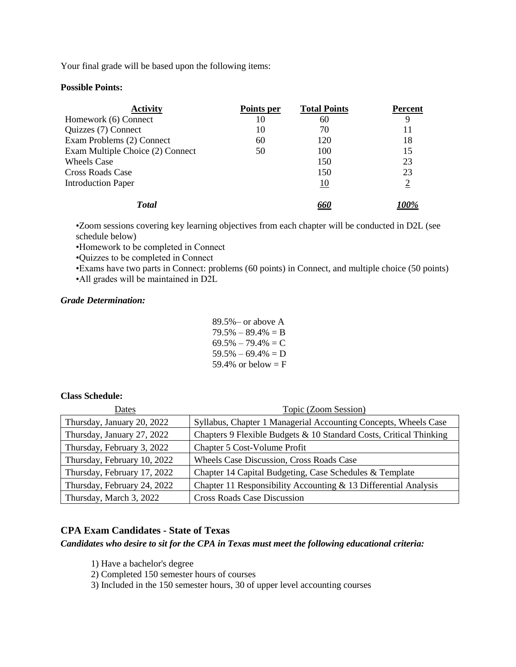Your final grade will be based upon the following items:

#### **Possible Points:**

| <b>Activity</b>                  | Points per | <b>Total Points</b> | Percent |
|----------------------------------|------------|---------------------|---------|
| Homework (6) Connect             | 10         | 60                  | 9       |
| Quizzes (7) Connect              | 10         | 70                  | 11      |
| Exam Problems (2) Connect        | 60         | 120                 | 18      |
| Exam Multiple Choice (2) Connect | 50         | 100                 | 15      |
| <b>Wheels Case</b>               |            | 150                 | 23      |
| Cross Roads Case                 |            | 150                 | 23      |
| <b>Introduction Paper</b>        |            | 10                  |         |
| <b>T</b> otal                    |            |                     |         |

•Zoom sessions covering key learning objectives from each chapter will be conducted in D2L (see schedule below)

•Homework to be completed in Connect

•Quizzes to be completed in Connect

•Exams have two parts in Connect: problems (60 points) in Connect, and multiple choice (50 points) •All grades will be maintained in D2L

#### *Grade Determination:*

89.5%– or above A  $79.5\% - 89.4\% = B$  $69.5\% - 79.4\% = C$  $59.5\% - 69.4\% = D$ 59.4% or below  $=$  F

### **Class Schedule:**

| Dates                       | Topic (Zoom Session)                                               |
|-----------------------------|--------------------------------------------------------------------|
| Thursday, January 20, 2022  | Syllabus, Chapter 1 Managerial Accounting Concepts, Wheels Case    |
| Thursday, January 27, 2022  | Chapters 9 Flexible Budgets & 10 Standard Costs, Critical Thinking |
| Thursday, February 3, 2022  | Chapter 5 Cost-Volume Profit                                       |
| Thursday, February 10, 2022 | Wheels Case Discussion, Cross Roads Case                           |
| Thursday, February 17, 2022 | Chapter 14 Capital Budgeting, Case Schedules & Template            |
| Thursday, February 24, 2022 | Chapter 11 Responsibility Accounting $&$ 13 Differential Analysis  |
| Thursday, March 3, 2022     | <b>Cross Roads Case Discussion</b>                                 |

# **CPA Exam Candidates - State of Texas**

*Candidates who desire to sit for the CPA in Texas must meet the following educational criteria:* 

- 1) Have a bachelor's degree
- 2) Completed 150 semester hours of courses
- 3) Included in the 150 semester hours, 30 of upper level accounting courses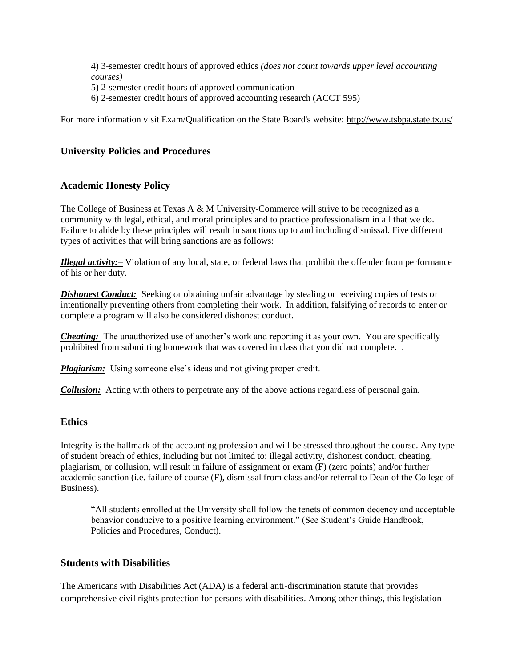4) 3-semester credit hours of approved ethics *(does not count towards upper level accounting courses)* 5) 2-semester credit hours of approved communication

6) 2-semester credit hours of approved accounting research (ACCT 595)

For more information visit Exam/Qualification on the State Board's website:<http://www.tsbpa.state.tx.us/>

# **University Policies and Procedures**

# **Academic Honesty Policy**

The College of Business at Texas A  $\&$  M University-Commerce will strive to be recognized as a community with legal, ethical, and moral principles and to practice professionalism in all that we do. Failure to abide by these principles will result in sanctions up to and including dismissal. Five different types of activities that will bring sanctions are as follows:

*Illegal activity:–* Violation of any local, state, or federal laws that prohibit the offender from performance of his or her duty.

**Dishonest Conduct:** Seeking or obtaining unfair advantage by stealing or receiving copies of tests or intentionally preventing others from completing their work. In addition, falsifying of records to enter or complete a program will also be considered dishonest conduct.

*Cheating:* The unauthorized use of another's work and reporting it as your own. You are specifically prohibited from submitting homework that was covered in class that you did not complete. .

*Plagiarism:* Using someone else's ideas and not giving proper credit.

*Collusion:* Acting with others to perpetrate any of the above actions regardless of personal gain.

# **Ethics**

Integrity is the hallmark of the accounting profession and will be stressed throughout the course. Any type of student breach of ethics, including but not limited to: illegal activity, dishonest conduct, cheating, plagiarism, or collusion, will result in failure of assignment or exam (F) (zero points) and/or further academic sanction (i.e. failure of course (F), dismissal from class and/or referral to Dean of the College of Business).

"All students enrolled at the University shall follow the tenets of common decency and acceptable behavior conducive to a positive learning environment." (See Student's Guide Handbook, Policies and Procedures, Conduct).

# **Students with Disabilities**

The Americans with Disabilities Act (ADA) is a federal anti-discrimination statute that provides comprehensive civil rights protection for persons with disabilities. Among other things, this legislation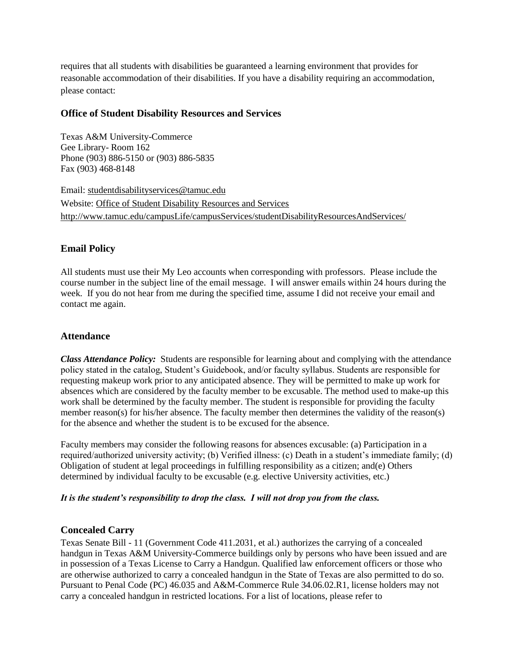requires that all students with disabilities be guaranteed a learning environment that provides for reasonable accommodation of their disabilities. If you have a disability requiring an accommodation, please contact:

### **Office of Student Disability Resources and Services**

Texas A&M University-Commerce Gee Library- Room 162 Phone (903) 886-5150 or (903) 886-5835 Fax (903) 468-8148

Email: [studentdisabilityservices@tamuc.edu](mailto:studentdisabilityservices@tamuc.edu) Website: [Office of Student Disability Resources and Services](http://www.tamuc.edu/campusLife/campusServices/studentDisabilityResourcesAndServices/) <http://www.tamuc.edu/campusLife/campusServices/studentDisabilityResourcesAndServices/>

# **Email Policy**

All students must use their My Leo accounts when corresponding with professors. Please include the course number in the subject line of the email message. I will answer emails within 24 hours during the week. If you do not hear from me during the specified time, assume I did not receive your email and contact me again.

# **Attendance**

*Class Attendance Policy:* Students are responsible for learning about and complying with the attendance policy stated in the catalog, Student's Guidebook, and/or faculty syllabus. Students are responsible for requesting makeup work prior to any anticipated absence. They will be permitted to make up work for absences which are considered by the faculty member to be excusable. The method used to make-up this work shall be determined by the faculty member. The student is responsible for providing the faculty member reason(s) for his/her absence. The faculty member then determines the validity of the reason(s) for the absence and whether the student is to be excused for the absence.

Faculty members may consider the following reasons for absences excusable: (a) Participation in a required/authorized university activity; (b) Verified illness: (c) Death in a student's immediate family; (d) Obligation of student at legal proceedings in fulfilling responsibility as a citizen; and(e) Others determined by individual faculty to be excusable (e.g. elective University activities, etc.)

#### *It is the student's responsibility to drop the class. I will not drop you from the class.*

# **Concealed Carry**

Texas Senate Bill - 11 (Government Code 411.2031, et al.) authorizes the carrying of a concealed handgun in Texas A&M University-Commerce buildings only by persons who have been issued and are in possession of a Texas License to Carry a Handgun. Qualified law enforcement officers or those who are otherwise authorized to carry a concealed handgun in the State of Texas are also permitted to do so. Pursuant to Penal Code (PC) 46.035 and A&M-Commerce Rule 34.06.02.R1, license holders may not carry a concealed handgun in restricted locations. For a list of locations, please refer to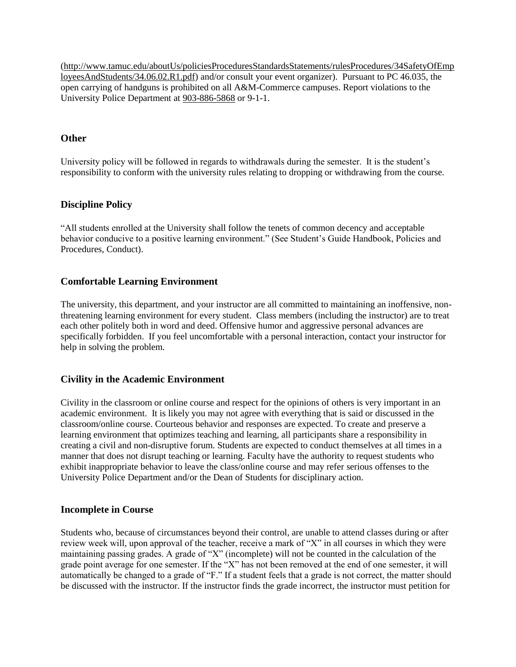[\(http://www.tamuc.edu/aboutUs/policiesProceduresStandardsStatements/rulesProcedures/34SafetyOfEmp](http://www.tamuc.edu/aboutUs/policiesProceduresStandardsStatements/rulesProcedures/34SafetyOfEmployeesAndStudents/34.06.02.R1.pdf) [loyeesAndStudents/34.06.02.R1.pdf\)](http://www.tamuc.edu/aboutUs/policiesProceduresStandardsStatements/rulesProcedures/34SafetyOfEmployeesAndStudents/34.06.02.R1.pdf) and/or consult your event organizer). Pursuant to PC 46.035, the open carrying of handguns is prohibited on all A&M-Commerce campuses. Report violations to the University Police Department at [903-886-5868](tel:903-886-5868) or 9-1-1.

# **Other**

University policy will be followed in regards to withdrawals during the semester. It is the student's responsibility to conform with the university rules relating to dropping or withdrawing from the course.

# **Discipline Policy**

"All students enrolled at the University shall follow the tenets of common decency and acceptable behavior conducive to a positive learning environment." (See Student's Guide Handbook, Policies and Procedures, Conduct).

# **Comfortable Learning Environment**

The university, this department, and your instructor are all committed to maintaining an inoffensive, nonthreatening learning environment for every student. Class members (including the instructor) are to treat each other politely both in word and deed. Offensive humor and aggressive personal advances are specifically forbidden. If you feel uncomfortable with a personal interaction, contact your instructor for help in solving the problem.

# **Civility in the Academic Environment**

Civility in the classroom or online course and respect for the opinions of others is very important in an academic environment. It is likely you may not agree with everything that is said or discussed in the classroom/online course. Courteous behavior and responses are expected. To create and preserve a learning environment that optimizes teaching and learning, all participants share a responsibility in creating a civil and non-disruptive forum. Students are expected to conduct themselves at all times in a manner that does not disrupt teaching or learning. Faculty have the authority to request students who exhibit inappropriate behavior to leave the class/online course and may refer serious offenses to the University Police Department and/or the Dean of Students for disciplinary action.

# **Incomplete in Course**

Students who, because of circumstances beyond their control, are unable to attend classes during or after review week will, upon approval of the teacher, receive a mark of "X" in all courses in which they were maintaining passing grades. A grade of "X" (incomplete) will not be counted in the calculation of the grade point average for one semester. If the "X" has not been removed at the end of one semester, it will automatically be changed to a grade of "F." If a student feels that a grade is not correct, the matter should be discussed with the instructor. If the instructor finds the grade incorrect, the instructor must petition for